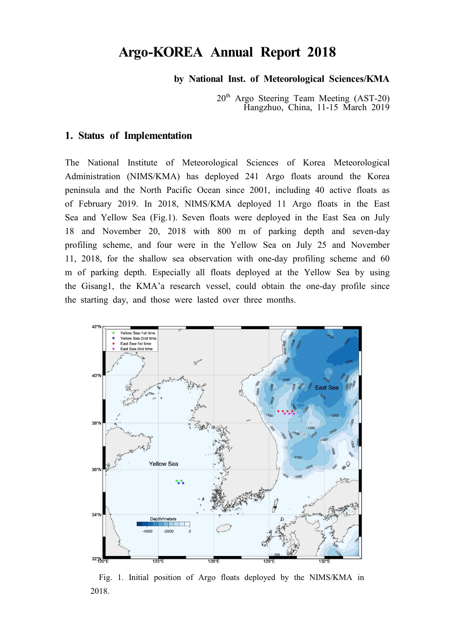# **Argo-KOREA Annual Report 2018**

### **by National Inst. of Meteorological Sciences/KMA**

20th Argo Steering Team Meeting (AST-20) Hangzhuo, China, 11-15 March 2019

#### **1. Status of Implementation**

The National Institute of Meteorological Sciences of Korea Meteorological Administration (NIMS/KMA) has deployed 241 Argo floats around the Korea peninsula and the North Pacific Ocean since 2001, including 40 active floats as of February 2019. In 2018, NIMS/KMA deployed 11 Argo floats in the East Sea and Yellow Sea (Fig.1). Seven floats were deployed in the East Sea on July 18 and November 20, 2018 with 800 m of parking depth and seven-day profiling scheme, and four were in the Yellow Sea on July 25 and November 11, 2018, for the shallow sea observation with one-day profiling scheme and 60 m of parking depth. Especially all floats deployed at the Yellow Sea by using the Gisang1, the KMA'a research vessel, could obtain the one-day profile since the starting day, and those were lasted over three months.



 Fig. 1. Initial position of Argo floats deployed by the NIMS/KMA in 2018.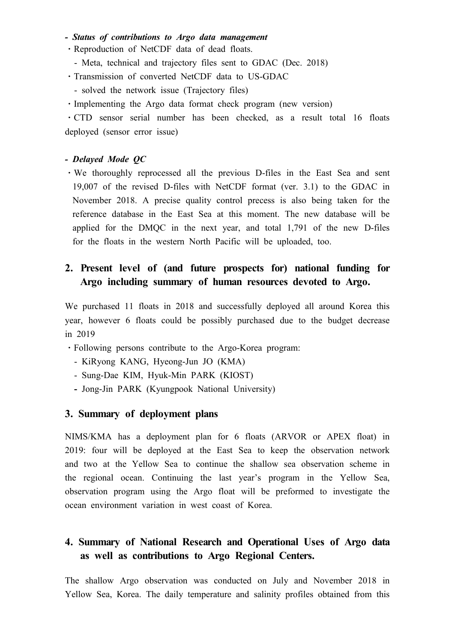### *- Status of contributions to Argo data management*

- ⋅Reproduction of NetCDF data of dead floats.
- Meta, technical and trajectory files sent to GDAC (Dec. 2018)
- ⋅Transmission of converted NetCDF data to US-GDAC
- solved the network issue (Trajectory files)
- Implementing the Argo data format check program (new version)

⋅CTD sensor serial number has been checked, as a result total 16 floats deployed (sensor error issue)

#### *- Delayed Mode QC*

⋅We thoroughly reprocessed all the previous D-files in the East Sea and sent 19,007 of the revised D-files with NetCDF format (ver. 3.1) to the GDAC in November 2018. A precise quality control precess is also being taken for the reference database in the East Sea at this moment. The new database will be applied for the DMQC in the next year, and total 1,791 of the new D-files for the floats in the western North Pacific will be uploaded, too.

### **2. Present level of (and future prospects for) national funding for Argo including summary of human resources devoted to Argo.**

We purchased 11 floats in 2018 and successfully deployed all around Korea this year, however 6 floats could be possibly purchased due to the budget decrease in 2019

- ⋅Following persons contribute to the Argo-Korea program:
	- KiRyong KANG, Hyeong-Jun JO (KMA)
	- Sung-Dae KIM, Hyuk-Min PARK (KIOST)
	- Jong-Jin PARK (Kyungpook National University)

### **3. Summary of deployment plans**

NIMS/KMA has a deployment plan for 6 floats (ARVOR or APEX float) in 2019: four will be deployed at the East Sea to keep the observation network and two at the Yellow Sea to continue the shallow sea observation scheme in the regional ocean. Continuing the last year's program in the Yellow Sea, observation program using the Argo float will be preformed to investigate the ocean environment variation in west coast of Korea.

### **4. Summary of National Research and Operational Uses of Argo data as well as contributions to Argo Regional Centers.**

The shallow Argo observation was conducted on July and November 2018 in Yellow Sea, Korea. The daily temperature and salinity profiles obtained from this